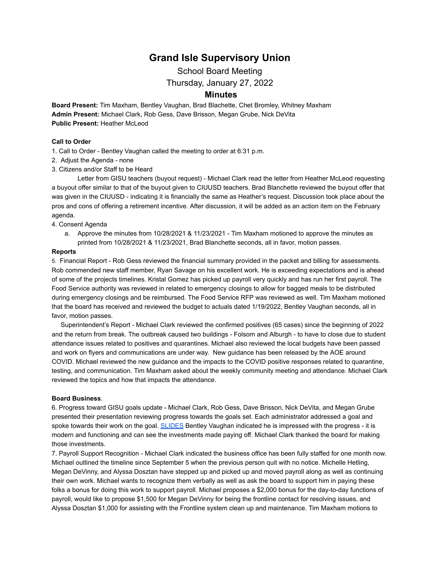# **Grand Isle Supervisory Union**

School Board Meeting

Thursday, January 27, 2022

# **Minutes**

**Board Present:** Tim Maxham, Bentley Vaughan, Brad Blachette, Chet Bromley, Whitney Maxham **Admin Present:** Michael Clark, Rob Gess, Dave Brisson, Megan Grube, Nick DeVita **Public Present:** Heather McLeod

## **Call to Order**

- 1. Call to Order Bentley Vaughan called the meeting to order at 6:31 p.m.
- 2. Adjust the Agenda none
- 3. Citizens and/or Staff to be Heard

Letter from GISU teachers (buyout request) - Michael Clark read the letter from Heather McLeod requesting a buyout offer similar to that of the buyout given to CIUUSD teachers. Brad Blanchette reviewed the buyout offer that was given in the CIUUSD - indicating it is financially the same as Heather's request. Discussion took place about the pros and cons of offering a retirement incentive. After discussion, it will be added as an action item on the February agenda.

#### 4. Consent Agenda

a. Approve the minutes from 10/28/2021 & 11/23/2021 - Tim Maxham motioned to approve the minutes as printed from 10/28/2021 & 11/23/2021, Brad Blanchette seconds, all in favor, motion passes.

#### **Reports**

5. Financial Report - Rob Gess reviewed the financial summary provided in the packet and billing for assessments. Rob commended new staff member, Ryan Savage on his excellent work. He is exceeding expectations and is ahead of some of the projects timelines. Kristal Gomez has picked up payroll very quickly and has run her first payroll. The Food Service authority was reviewed in related to emergency closings to allow for bagged meals to be distributed during emergency closings and be reimbursed. The Food Service RFP was reviewed as well. Tim Maxham motioned that the board has received and reviewed the budget to actuals dated 1/19/2022, Bentley Vaughan seconds, all in favor, motion passes.

Superintendent's Report - Michael Clark reviewed the confirmed positives (65 cases) since the beginning of 2022 and the return from break. The outbreak caused two buildings - Folsom and Alburgh - to have to close due to student attendance issues related to positives and quarantines. Michael also reviewed the local budgets have been passed and work on flyers and communications are under way. New guidance has been released by the AOE around COVID. Michael reviewed the new guidance and the impacts to the COVID positive responses related to quarantine, testing, and communication. Tim Maxham asked about the weekly community meeting and attendance. Michael Clark reviewed the topics and how that impacts the attendance.

# **Board Business**.

6. Progress toward GISU goals update - Michael Clark, Rob Gess, Dave Brisson, Nick DeVita, and Megan Grube presented their presentation reviewing progress towards the goals set. Each administrator addressed a goal and spoke towards their work on the goal. [SLIDES](https://drive.google.com/file/d/1OW0I3LQGNFqMX_9Bk85CR1TFYkZ-fO4U/view?usp=sharing) Bentley Vaughan indicated he is impressed with the progress - it is modern and functioning and can see the investments made paying off. Michael Clark thanked the board for making those investments.

7. Payroll Support Recognition - Michael Clark indicated the business office has been fully staffed for one month now. Michael outlined the timeline since September 5 when the previous person quit with no notice. Michelle Hetling, Megan DeVinny, and Alyssa Dosztan have stepped up and picked up and moved payroll along as well as continuing their own work. Michael wants to recognize them verbally as well as ask the board to support him in paying these folks a bonus for doing this work to support payroll. Michael proposes a \$2,000 bonus for the day-to-day functions of payroll, would like to propose \$1,500 for Megan DeVinny for being the frontline contact for resolving issues, and Alyssa Dosztan \$1,000 for assisting with the Frontline system clean up and maintenance. Tim Maxham motions to